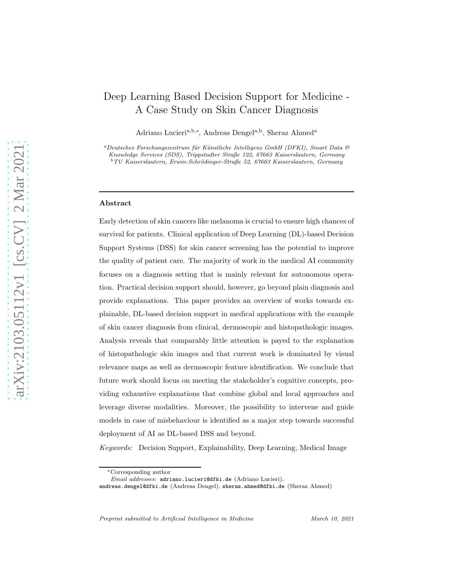# Deep Learning Based Decision Support for Medicine - A Case Study on Skin Cancer Diagnosis

Adriano Lucieri<sup>a, b,∗</sup>, Andreas Dengel<sup>a, b</sup>, Sheraz Ahmed<sup>a</sup>

 $a$ Deutsches Forschungszentrum für Künstliche Intelligenz GmbH (DFKI), Smart Data  $\mathcal{B}$ Knowledge Services (SDS), Trippstadter Straße 122, 67663 Kaiserslautern, Germany  $b$ TU Kaiserslautern, Erwin-Schrödinger-Straße 52, 67663 Kaiserslautern, Germany

### Abstract

Early detection of skin cancers like melanoma is crucial to ensure high chances of survival for patients. Clinical application of Deep Learning (DL)-based Decision Support Systems (DSS) for skin cancer screening has the potential to improve the quality of patient care. The majority of work in the medical AI community focuses on a diagnosis setting that is mainly relevant for autonomous operation. Practical decision support should, however, go beyond plain diagnosis and provide explanations. This paper provides an overview of works towards explainable, DL-based decision support in medical applications with the example of skin cancer diagnosis from clinical, dermoscopic and histopathologic images. Analysis reveals that comparably little attention is payed to the explanation of histopathologic skin images and that current work is dominated by visual relevance maps as well as dermoscopic feature identification. We conclude that future work should focus on meeting the stakeholder's cognitive concepts, providing exhaustive explanations that combine global and local approaches and leverage diverse modalities. Moreover, the possibility to intervene and guide models in case of misbehaviour is identified as a major step towards successful deployment of AI as DL-based DSS and beyond.

Keywords: Decision Support, Explainability, Deep Learning, Medical Image

Preprint submitted to Artificial Intelligence in Medicine March 10, 2021

<sup>∗</sup>Corresponding author

Email addresses: adriano.lucieri@dfki.de (Adriano Lucieri),

andreas.dengel@dfki.de (Andreas Dengel), sheraz.ahmed@dfki.de (Sheraz Ahmed)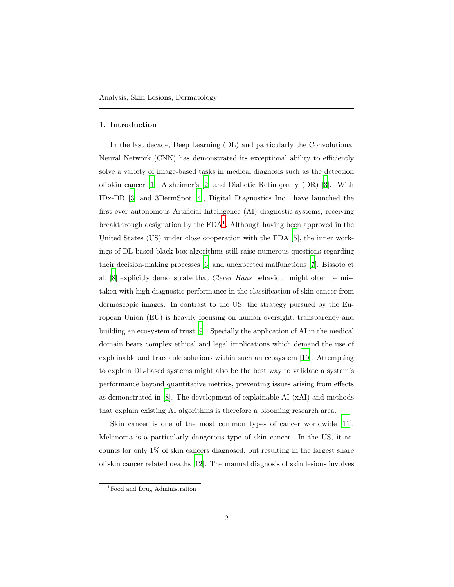#### 1. Introduction

In the last decade, Deep Learning (DL) and particularly the Convolutional Neural Network (CNN) has demonstrated its exceptional ability to efficiently solve a variety of image-based tasks in medical diagnosis such as the detection of skin cancer [\[1\]](#page-17-0), Alzheimer's [\[2\]](#page-17-1) and Diabetic Retinopathy (DR) [\[3](#page-18-0)]. With IDx-DR [\[3\]](#page-18-0) and 3DermSpot [\[4](#page-18-1)], Digital Diagnostics Inc. have launched the first ever autonomous Artificial Intelligence (AI) diagnostic systems, receiving breakthrough designation by the  $FDA<sup>1</sup>$  $FDA<sup>1</sup>$  $FDA<sup>1</sup>$ . Although having been approved in the United States (US) under close cooperation with the FDA [\[5](#page-18-2)], the inner workings of DL-based black-box algorithms still raise numerous questions regarding their decision-making processes [\[6\]](#page-18-3) and unexpected malfunctions [\[7\]](#page-18-4). Bissoto et al. [\[8\]](#page-18-5) explicitly demonstrate that Clever Hans behaviour might often be mistaken with high diagnostic performance in the classification of skin cancer from dermoscopic images. In contrast to the US, the strategy pursued by the European Union (EU) is heavily focusing on human oversight, transparency and building an ecosystem of trust [\[9\]](#page-18-6). Specially the application of AI in the medical domain bears complex ethical and legal implications which demand the use of explainable and traceable solutions within such an ecosystem [\[10\]](#page-18-7). Attempting to explain DL-based systems might also be the best way to validate a system's performance beyond quantitative metrics, preventing issues arising from effects as demonstrated in [\[8\]](#page-18-5). The development of explainable AI (xAI) and methods that explain existing AI algorithms is therefore a blooming research area.

Skin cancer is one of the most common types of cancer worldwide [\[11\]](#page-18-8). Melanoma is a particularly dangerous type of skin cancer. In the US, it accounts for only 1% of skin cancers diagnosed, but resulting in the largest share of skin cancer related deaths [\[12](#page-19-0)]. The manual diagnosis of skin lesions involves

<span id="page-1-0"></span><sup>1</sup>Food and Drug Administration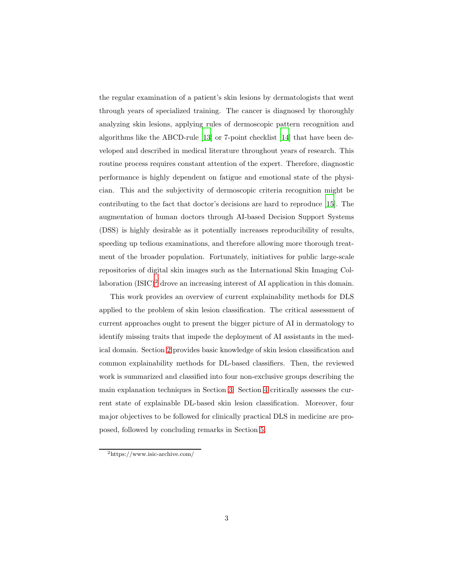the regular examination of a patient's skin lesions by dermatologists that went through years of specialized training. The cancer is diagnosed by thoroughly analyzing skin lesions, applying rules of dermoscopic pattern recognition and algorithms like the ABCD-rule [\[13](#page-19-1)] or 7-point checklist [\[14\]](#page-19-2) that have been developed and described in medical literature throughout years of research. This routine process requires constant attention of the expert. Therefore, diagnostic performance is highly dependent on fatigue and emotional state of the physician. This and the subjectivity of dermoscopic criteria recognition might be contributing to the fact that doctor's decisions are hard to reproduce [\[15](#page-19-3)]. The augmentation of human doctors through AI-based Decision Support Systems (DSS) is highly desirable as it potentially increases reproducibility of results, speeding up tedious examinations, and therefore allowing more thorough treatment of the broader population. Fortunately, initiatives for public large-scale repositories of digital skin images such as the International Skin Imaging Collaboration  $(ISIC)^2$  $(ISIC)^2$  drove an increasing interest of AI application in this domain.

This work provides an overview of current explainability methods for DLS applied to the problem of skin lesion classification. The critical assessment of current approaches ought to present the bigger picture of AI in dermatology to identify missing traits that impede the deployment of AI assistants in the medical domain. Section [2](#page-3-0) provides basic knowledge of skin lesion classification and common explainability methods for DL-based classifiers. Then, the reviewed work is summarized and classified into four non-exclusive groups describing the main explanation techniques in Section [3.](#page-5-0) Section [4](#page-12-0) critically assesses the current state of explainable DL-based skin lesion classification. Moreover, four major objectives to be followed for clinically practical DLS in medicine are proposed, followed by concluding remarks in Section [5.](#page-17-2)

<span id="page-2-0"></span><sup>2</sup>https://www.isic-archive.com/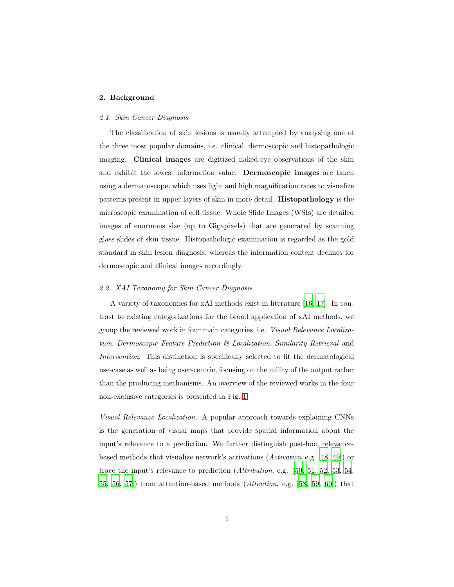## <span id="page-3-0"></span>2. Background

## 2.1. Skin Cancer Diagnosis

The classification of skin lesions is usually attempted by analysing one of the three most popular domains, i.e. clinical, dermoscopic and histopathologic imaging. Clinical images are digitized naked-eye observations of the skin and exhibit the lowest information value. Dermoscopic images are taken using a dermatoscope, which uses light and high magnification rates to visualize patterns present in upper layers of skin in more detail. Histopathology is the microscopic examination of cell tissue. Whole Slide Images (WSIs) are detailed images of enormous size (up to Gigapixels) that are generated by scanning glass slides of skin tissue. Histopathologic examination is regarded as the gold standard in skin lesion diagnosis, whereas the information content declines for dermoscopic and clinical images accordingly.

## 2.2. XAI Taxonomy for Skin Cancer Diagnosis

A variety of taxonomies for xAI methods exist in literature [\[16](#page-19-4), [17](#page-19-5)]. In contrast to existing categorizations for the broad application of xAI methods, we group the reviewed work in four main categories, i.e. Visual Relevance Localization, Dermoscopic Feature Prediction & Localization, Similarity Retrieval and Intervention. This distinction is specifically selected to fit the dermatological use-case as well as being user-centric, focusing on the utility of the output rather than the producing mechanisms. An overview of the reviewed works in the four non-exclusive categories is presented in Fig. [1.](#page-4-0)

Visual Relevance Localization. A popular approach towards explaining CNNs is the generation of visual maps that provide spatial information about the input's relevance to a prediction. We further distinguish post-hoc, relevancebased methods that visualize network's activations (Activation e.g. [\[48,](#page-23-0) [49\]](#page-23-1)) or trace the input's relevance to prediction (Attribution, e.g. [\[50,](#page-23-2) [51,](#page-23-3) [52](#page-24-0), [53](#page-24-1), [54,](#page-24-2) [55,](#page-24-3) [56](#page-24-4), 57) from attention-based methods  $(Attention, e.g. [58, 59, 60])$  $(Attention, e.g. [58, 59, 60])$  $(Attention, e.g. [58, 59, 60])$  $(Attention, e.g. [58, 59, 60])$  $(Attention, e.g. [58, 59, 60])$  $(Attention, e.g. [58, 59, 60])$  that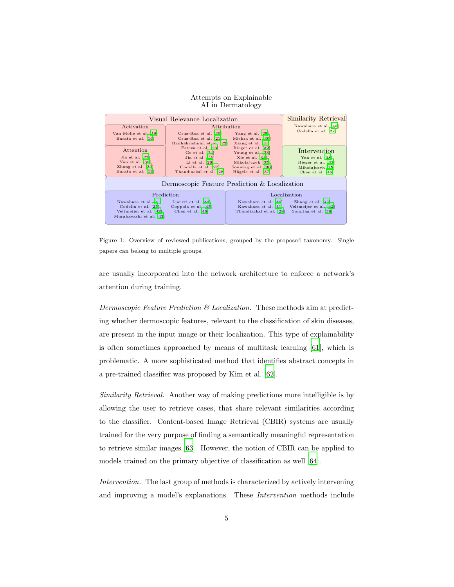#### Attempts on Explainable AI in Dermatology



<span id="page-4-0"></span>Figure 1: Overview of reviewed publications, grouped by the proposed taxonomy. Single papers can belong to multiple groups.

are usually incorporated into the network architecture to enforce a network's attention during training.

Dermoscopic Feature Prediction  $\mathcal B$  Localization. These methods aim at predicting whether dermoscopic features, relevant to the classification of skin diseases, are present in the input image or their localization. This type of explainability is often sometimes approached by means of multitask learning [\[61\]](#page-25-0), which is problematic. A more sophisticated method that identifies abstract concepts in a pre-trained classifier was proposed by Kim et al. [\[62](#page-25-1)].

Similarity Retrieval. Another way of making predictions more intelligible is by allowing the user to retrieve cases, that share relevant similarities according to the classifier. Content-based Image Retrieval (CBIR) systems are usually trained for the very purpose of finding a semantically meaningful representation to retrieve similar images [\[63\]](#page-25-2). However, the notion of CBIR can be applied to models trained on the primary objective of classification as well [\[64\]](#page-25-3).

Intervention. The last group of methods is characterized by actively intervening and improving a model's explanations. These Intervention methods include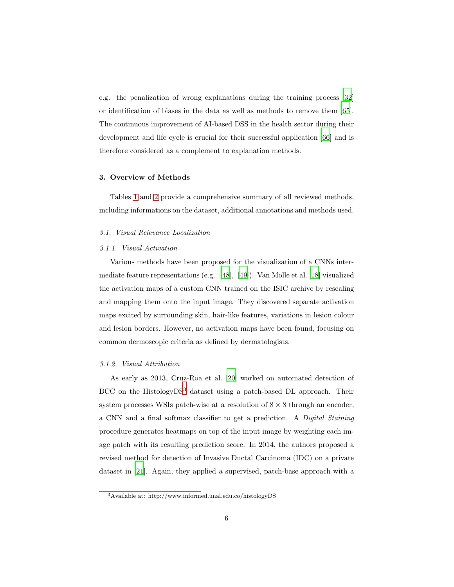e.g. the penalization of wrong explanations during the training process [\[32\]](#page-21-5) or identification of biases in the data as well as methods to remove them [\[65\]](#page-25-4). The continuous improvement of AI-based DSS in the health sector during their development and life cycle is crucial for their successful application [\[66\]](#page-25-5) and is therefore considered as a complement to explanation methods.

## <span id="page-5-0"></span>3. Overview of Methods

Tables [1](#page-6-0) and [2](#page-7-0) provide a comprehensive summary of all reviewed methods, including informations on the dataset, additional annotations and methods used.

## 3.1. Visual Relevance Localization

#### 3.1.1. Visual Activation

Various methods have been proposed for the visualization of a CNNs intermediate feature representations (e.g. [\[48\]](#page-23-0), [\[49](#page-23-1)]). Van Molle et al. [\[18\]](#page-19-6) visualized the activation maps of a custom CNN trained on the ISIC archive by rescaling and mapping them onto the input image. They discovered separate activation maps excited by surrounding skin, hair-like features, variations in lesion colour and lesion borders. However, no activation maps have been found, focusing on common dermoscopic criteria as defined by dermatologists.

#### 3.1.2. Visual Attribution

As early as 2013, Cruz-Roa et al. [\[20](#page-20-1)] worked on automated detection of BCC on the Histology DS<sup>[3](#page-5-1)</sup> dataset using a patch-based DL approach. Their system processes WSIs patch-wise at a resolution of  $8 \times 8$  through an encoder, a CNN and a final softmax classifier to get a prediction. A Digital Staining procedure generates heatmaps on top of the input image by weighting each image patch with its resulting prediction score. In 2014, the authors proposed a revised method for detection of Invasive Ductal Carcinoma (IDC) on a private dataset in [\[21\]](#page-20-2). Again, they applied a supervised, patch-base approach with a

<span id="page-5-1"></span><sup>3</sup>Available at: http://www.informed.unal.edu.co/histologyDS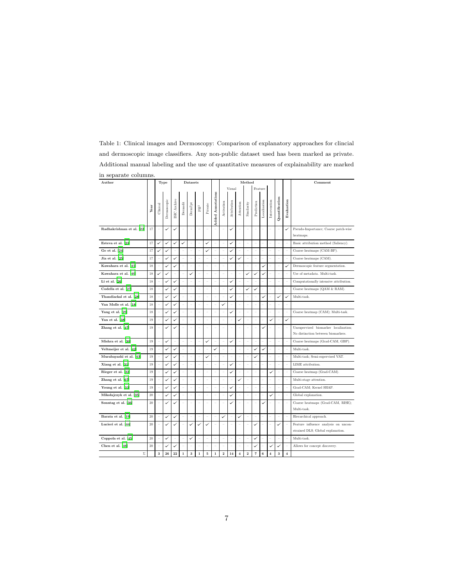| $\sim\,$<br>Author        |        |                         | Type         |              |                   | Datasets                |              |              |                          | Method         |              |                |                |                |              |                |                |                | Comment                                                                    |
|---------------------------|--------|-------------------------|--------------|--------------|-------------------|-------------------------|--------------|--------------|--------------------------|----------------|--------------|----------------|----------------|----------------|--------------|----------------|----------------|----------------|----------------------------------------------------------------------------|
|                           |        |                         |              |              |                   |                         |              |              |                          |                | Visual       |                | Feature        |                |              |                |                |                |                                                                            |
|                           | Year   | Clinical                | Dermoscopic  | SIC Archive  | $\mbox{Dernofit}$ | Dern7pt                 | $\rm PH^2$   | Private      | <b>Added Annotations</b> | Activation     | Attribution  | Attention      | Similarity     | Prediction     | Localization | Intervention   | Quantification | Evaluation     |                                                                            |
| Radhakrishnan et al. [22] | 17     |                         |              |              |                   |                         |              |              |                          |                | ✓            |                |                |                |              |                |                |                | Pseudo-Importance; Coarse patch-wise<br>heatmaps.                          |
| Esteva et al. [23]        | 17     | ✓                       | $\checkmark$ | ✓            | ✓                 |                         | L.           | ✓            |                          | ÷              | ✓            | ÷              | ٠              | ÷              |              |                | í.             |                | Basic attribution method (Saliency).                                       |
| Ge et al. [24]            | 17     | ✓                       | ✓            | ÷            |                   |                         | ÷            | ✓            | ÷                        | $\overline{a}$ | ✓            | i.             | ÷,             | ۰              |              |                | i,             |                | Coarse heatmaps (CAM-BP).                                                  |
| Jia et al. [25]           | 17     | i.                      |              | ✓            |                   |                         | i.           |              | í.                       | i.             | $\checkmark$ | ✓              | í.             | í.             |              |                | L              |                | Coarse heatmaps (CAM).                                                     |
| Kawahara et al. [41]      | 18     | i.                      | U            | $\checkmark$ |                   |                         | L            |              |                          | L              |              |                | ÷              |                |              |                |                | پ              | Dermoscopic feature segmentation.                                          |
| Kawahara et al. [40]      | 18     | $\checkmark$            | $\checkmark$ |              |                   |                         |              |              |                          | í.             |              | ÷              | V              | U              |              |                |                |                | Use of metadata, Multi-task.                                               |
| Li et al. $[26]$          | 18     | ٠                       | ✓            | ✓            |                   |                         | ÷            |              |                          | ÷              | ✓            | ÷              |                | ÷              |              |                | ÷              |                | Computationally intensive attribution.                                     |
| Codella et al. [27]       | 18     | ÷                       |              | ✓            |                   |                         |              |              | L.                       | í.             |              | ÷              |                |                |              |                | L              |                | Coarse heatmaps (QAM & RAM).                                               |
| Thandiackal et al. [28]   | 18     |                         | Ü            | ✓            |                   |                         |              |              |                          | i.             | $\checkmark$ |                |                |                |              |                | U              | U              | Multi-task.                                                                |
| Van Molle et al. [18]     | 18     | ٠                       | ✓            | ✓            |                   |                         |              |              | ۰                        | ✓              | ٠            | ÷              | ٠              | 1              |              |                | ۰              |                |                                                                            |
| Yang et al. [29]          | 18     | ÷,                      | ◡            | ✓            |                   |                         |              |              | ÷                        | ÷              | ✓            | ÷              | ٠              | $\equiv$       |              |                | ÷              |                | Coarse heatmap (CAM); Multi-task.                                          |
| Yan et al. [38]           | 19     | i.                      |              | ✓            |                   |                         | ÷            | ÷            | í.                       | ÷              | ÷            | ✓              | ÷              | ÷              |              | ✓              | ÷              | ✓              |                                                                            |
| Zhang et al. [47]         | 19     |                         |              |              |                   |                         |              |              |                          |                |              |                |                |                |              |                |                |                | Unsupervised biomarker localization;<br>No distinction between biomarkers. |
| Mishra et al. [30]        | 19     | i.                      |              | ÷            |                   |                         | ÷            |              | í.                       | í.             |              | ÷              | i.             | L              |              |                | L              |                | Coarse heatmaps (Grad-CAM, GBP).                                           |
| Veltmeijer et al. [42]    | 19     |                         | U            | ✓            |                   |                         |              |              | ✓                        | i,             |              |                |                | V              | $\checkmark$ |                |                |                | Multi-task.                                                                |
| Murabayashi et al. [43]   | 19     | ۰                       | ✓            | ✓            |                   |                         | ÷            | $\checkmark$ | ۰                        | i,             | ٠            | ۰              | ۰              | ✓              |              |                |                |                | Multi-task; Semi-supervised VAT.                                           |
| Xiang et al. [31]         | 19     | ۰                       | ✓            | ✓            |                   |                         | ۳            |              | ۰                        | ÷              | ✓            | ÷              | i.             | ۳              |              |                | ۳              |                | LIME attribution.                                                          |
| Rieger et al. [32]        | 19     | i,                      |              | ✓            |                   |                         | L.           |              | í.                       | ÷              | ✓            | ÷              | ÷              | L              |              | U              | ÷              | ÷              | Coarse heatmap (Grad-CAM).                                                 |
| Zhang et al. [67]         | 19     |                         |              |              |                   |                         |              |              |                          | í.             |              | ✓              |                |                |              |                |                |                | Multi-stage attention.                                                     |
| Young et al. [33]         | 19     | ÷                       | U            | ✓            |                   |                         | L            |              | ۰                        | L              | $\checkmark$ | ÷              | ä,             | ۳              |              |                | ÷              |                | Grad-CAM; Kernel SHAP.                                                     |
| Mikołajczyk et al. [35]   | 20     | i.                      | U            |              |                   |                         | L            | ä,           | L.                       | í.             | ✓            | ÷              | ä,             | ÷              |              | U              | ÷              |                | Global explanation.                                                        |
| Sonntag et al. [36]       | $20\,$ | í.                      | V            | ✓            |                   |                         | L            |              |                          | í.             | ✓            | ÷              | ä,             | ÷              |              |                | L              |                | Coarse heatmaps (Grad-CAM, RISE);<br>Multi-task.                           |
| Barata et al. [19]        | 20     | i.                      | ✓            | ✓            | L                 | ÷                       | ÷            | í.           | í.                       | ✓              | ÷            | ✓              | ٠              | ÷              |              |                | ÷              |                | Hierarchical approach.                                                     |
| Lucieri et al. [44]       | 20     | i.                      |              | ✓            |                   |                         | ✓            |              |                          | L,             | ä,           | L.             | ÷              |                |              |                |                |                | Feature influence analysis on uncon-<br>strained DLS; Global explanation.  |
| Coppola et al. [45]       | 20     | ÷                       |              | ÷            | i.                | $\checkmark$            | ٠            | ÷            | ÷                        | ٠              | ٠            | ٠              | ٠              | ✓              |              | $\equiv$       | ÷              | ۰              | Multi-task.                                                                |
| Chen et al. [46]          | 20     |                         |              |              |                   |                         |              |              |                          | L,             |              |                |                |                |              |                |                |                | Allows for concept discovery.                                              |
| $\Sigma$                  |        | $\overline{\mathbf{3}}$ | 26           | 22           | $\mathbf{1}$      | $\overline{\mathbf{3}}$ | $\mathbf{1}$ | 5            | $\mathbf{1}$             | $\overline{2}$ | 14           | $\overline{4}$ | $\overline{2}$ | $\overline{7}$ | 6            | $\overline{4}$ | $\mathbf{3}$   | $\overline{4}$ |                                                                            |

<span id="page-6-0"></span>Table 1: Clinical images and Dermoscopy: Comparison of explanatory approaches for clincial and dermoscopic image classifiers. Any non-public dataset used has been marked as private. Additional manual labeling and the use of quantitative measures of explainability are marked in separate columns.  $\overline{a}$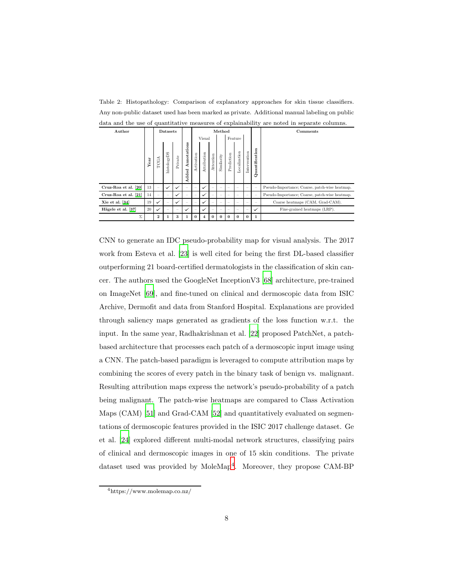<span id="page-7-0"></span>Table 2: Histopathology: Comparison of explanatory approaches for skin tissue classifiers. Any non-public dataset used has been marked as private. Additional manual labeling on public data and the use of quantitative measures of explainability are noted in separate columns.

| Author               |      |                          | Datasets                 |                          |                          | Method                   |                    |           |                          |                          |                          |              |                          | Comments                                       |
|----------------------|------|--------------------------|--------------------------|--------------------------|--------------------------|--------------------------|--------------------|-----------|--------------------------|--------------------------|--------------------------|--------------|--------------------------|------------------------------------------------|
|                      |      |                          |                          |                          | Visual                   |                          |                    |           |                          | Feature                  |                          |              |                          |                                                |
|                      | Year | TCGA                     | histologyDS              | Private                  | Annotations<br>Added     | Activation               | Attribution        | Attention | Similarity               | Prediction               | Localization             | Intervention | Quantification           |                                                |
| Cruz-Roa et al. [20] | 13   | $\overline{\phantom{a}}$ | $\checkmark$             | $\checkmark$             | $\overline{\phantom{a}}$ | $\overline{\phantom{a}}$ | $\checkmark$       |           | $\overline{\phantom{a}}$ | $\overline{\phantom{a}}$ | $\sim$                   |              | $\overline{\phantom{a}}$ | Pseudo-Importance; Coarse, patch-wise heatmap. |
| Cruz-Roa et al. [21] | 14   |                          | $\overline{\phantom{a}}$ | $\checkmark$             | $\overline{\phantom{a}}$ | $\overline{\phantom{a}}$ | ✓                  |           | $\sim$                   | $\overline{\phantom{a}}$ | $\sim$                   |              | $\overline{\phantom{a}}$ | Pseudo-Importance; Coarse, patch-wise heatmap. |
| Xie et al. $[34]$    | 19   | ✓                        | $\overline{\phantom{a}}$ | $\checkmark$             | $\overline{\phantom{a}}$ | $\overline{\phantom{a}}$ | ✓                  |           | $\overline{\phantom{a}}$ | $\overline{\phantom{a}}$ | $\sim$                   |              | $\overline{\phantom{m}}$ | Coarse heatmaps (CAM, Grad-CAM).               |
| Hägele et al. [37]   | 20   | ✓                        | $\sim$                   | $\overline{\phantom{a}}$ | ✓                        |                          | $\checkmark$       |           | $\overline{\phantom{a}}$ | $\overline{\phantom{a}}$ | $\overline{\phantom{a}}$ |              | $\checkmark$             | Fine-grained heatmaps (LRP).                   |
| Σ                    |      | $\overline{2}$           |                          | 3                        | 1                        | $\Omega$                 | $\overline{\bf 4}$ | $\Omega$  | $\Omega$                 | $\Omega$                 | $\Omega$                 | $\Omega$     | $\mathbf{1}$             |                                                |

CNN to generate an IDC pseudo-probability map for visual analysis. The 2017 work from Esteva et al. [\[23](#page-20-4)] is well cited for being the first DL-based classifier outperforming 21 board-certified dermatologists in the classification of skin cancer. The authors used the GoogleNet InceptionV3 [\[68\]](#page-25-7) architecture, pre-trained on ImageNet [\[69\]](#page-25-8), and fine-tuned on clinical and dermoscopic data from ISIC Archive, Dermofit and data from Stanford Hospital. Explanations are provided through saliency maps generated as gradients of the loss function w.r.t. the input. In the same year, Radhakrishnan et al. [\[22\]](#page-20-3) proposed PatchNet, a patchbased architecture that processes each patch of a dermoscopic input image using a CNN. The patch-based paradigm is leveraged to compute attribution maps by combining the scores of every patch in the binary task of benign vs. malignant. Resulting attribution maps express the network's pseudo-probability of a patch being malignant. The patch-wise heatmaps are compared to Class Activation Maps (CAM) [\[51](#page-23-3)] and Grad-CAM [\[52\]](#page-24-0) and quantitatively evaluated on segmentations of dermoscopic features provided in the ISIC 2017 challenge dataset. Ge et al. [\[24\]](#page-20-5) explored different multi-modal network structures, classifying pairs of clinical and dermoscopic images in one of 15 skin conditions. The private dataset used was provided by MoleMap<sup>[4](#page-7-1)</sup>. Moreover, they propose CAM-BP

<span id="page-7-1"></span><sup>4</sup>https://www.molemap.co.nz/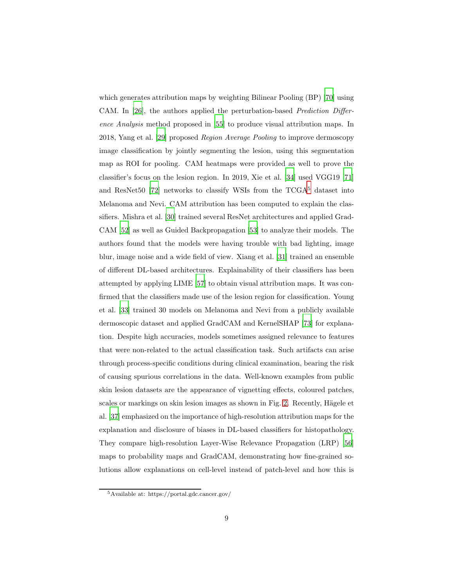which generates attribution maps by weighting Bilinear Pooling (BP) [\[70](#page-26-0)] using CAM. In [\[26](#page-20-7)], the authors applied the perturbation-based Prediction Difference Analysis method proposed in [\[55\]](#page-24-3) to produce visual attribution maps. In 2018, Yang et al. [\[29\]](#page-21-2) proposed Region Average Pooling to improve dermoscopy image classification by jointly segmenting the lesion, using this segmentation map as ROI for pooling. CAM heatmaps were provided as well to prove the classifier's focus on the lesion region. In 2019, Xie et al. [\[34](#page-21-7)] used VGG19 [\[71\]](#page-26-1) and ResNet50 [\[72\]](#page-26-2) networks to classify WSIs from the  $TCGA<sup>5</sup>$  $TCGA<sup>5</sup>$  $TCGA<sup>5</sup>$  dataset into Melanoma and Nevi. CAM attribution has been computed to explain the classifiers. Mishra et al. [\[30](#page-21-3)] trained several ResNet architectures and applied Grad-CAM [\[52](#page-24-0)] as well as Guided Backpropagation [\[53\]](#page-24-1) to analyze their models. The authors found that the models were having trouble with bad lighting, image blur, image noise and a wide field of view. Xiang et al. [\[31](#page-21-4)] trained an ensemble of different DL-based architectures. Explainability of their classifiers has been attempted by applying LIME [\[57\]](#page-24-5) to obtain visual attribution maps. It was confirmed that the classifiers made use of the lesion region for classification. Young et al. [\[33\]](#page-21-6) trained 30 models on Melanoma and Nevi from a publicly available dermoscopic dataset and applied GradCAM and KernelSHAP [\[73\]](#page-26-3) for explanation. Despite high accuracies, models sometimes assigned relevance to features that were non-related to the actual classification task. Such artifacts can arise through process-specific conditions during clinical examination, bearing the risk of causing spurious correlations in the data. Well-known examples from public skin lesion datasets are the appearance of vignetting effects, coloured patches, scales or markings on skin lesion images as shown in Fig. [2.](#page-9-0) Recently, Hägele et al. [\[37](#page-22-2)] emphasized on the importance of high-resolution attribution maps for the explanation and disclosure of biases in DL-based classifiers for histopathology. They compare high-resolution Layer-Wise Relevance Propagation (LRP) [\[56\]](#page-24-4) maps to probability maps and GradCAM, demonstrating how fine-grained solutions allow explanations on cell-level instead of patch-level and how this is

<span id="page-8-0"></span><sup>5</sup>Available at: https://portal.gdc.cancer.gov/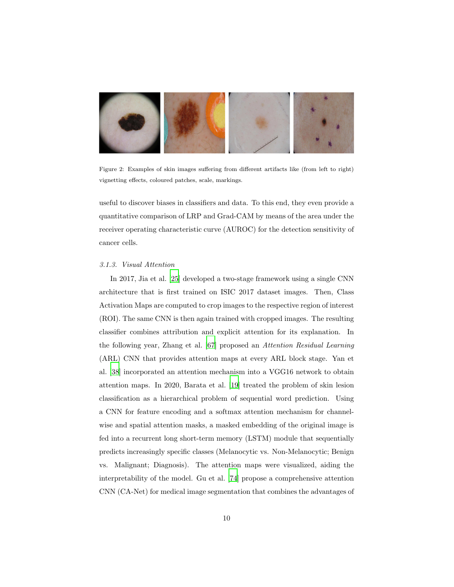

Figure 2: Examples of skin images suffering from different artifacts like (from left to right) vignetting effects, coloured patches, scale, markings.

<span id="page-9-0"></span>useful to discover biases in classifiers and data. To this end, they even provide a quantitative comparison of LRP and Grad-CAM by means of the area under the receiver operating characteristic curve (AUROC) for the detection sensitivity of cancer cells.

## 3.1.3. Visual Attention

In 2017, Jia et al. [\[25\]](#page-20-6) developed a two-stage framework using a single CNN architecture that is first trained on ISIC 2017 dataset images. Then, Class Activation Maps are computed to crop images to the respective region of interest (ROI). The same CNN is then again trained with cropped images. The resulting classifier combines attribution and explicit attention for its explanation. In the following year, Zhang et al. [\[67\]](#page-25-6) proposed an Attention Residual Learning (ARL) CNN that provides attention maps at every ARL block stage. Yan et al. [\[38\]](#page-22-3) incorporated an attention mechanism into a VGG16 network to obtain attention maps. In 2020, Barata et al. [\[19](#page-20-0)] treated the problem of skin lesion classification as a hierarchical problem of sequential word prediction. Using a CNN for feature encoding and a softmax attention mechanism for channelwise and spatial attention masks, a masked embedding of the original image is fed into a recurrent long short-term memory (LSTM) module that sequentially predicts increasingly specific classes (Melanocytic vs. Non-Melanocytic; Benign vs. Malignant; Diagnosis). The attention maps were visualized, aiding the interpretability of the model. Gu et al. [\[74\]](#page-26-4) propose a comprehensive attention CNN (CA-Net) for medical image segmentation that combines the advantages of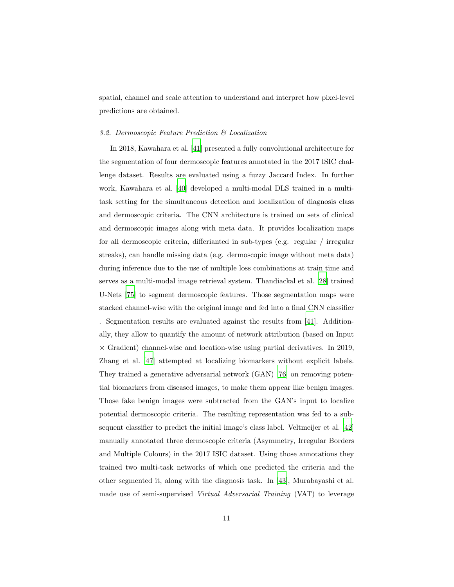spatial, channel and scale attention to understand and interpret how pixel-level predictions are obtained.

## 3.2. Dermoscopic Feature Prediction & Localization

In 2018, Kawahara et al. [\[41](#page-22-6)] presented a fully convolutional architecture for the segmentation of four dermoscopic features annotated in the 2017 ISIC challenge dataset. Results are evaluated using a fuzzy Jaccard Index. In further work, Kawahara et al. [\[40\]](#page-22-5) developed a multi-modal DLS trained in a multitask setting for the simultaneous detection and localization of diagnosis class and dermoscopic criteria. The CNN architecture is trained on sets of clinical and dermoscopic images along with meta data. It provides localization maps for all dermoscopic criteria, differianted in sub-types (e.g. regular / irregular streaks), can handle missing data (e.g. dermoscopic image without meta data) during inference due to the use of multiple loss combinations at train time and serves as a multi-modal image retrieval system. Thandiackal et al. [\[28](#page-21-1)] trained U-Nets [\[75\]](#page-26-5) to segment dermoscopic features. Those segmentation maps were stacked channel-wise with the original image and fed into a final CNN classifier . Segmentation results are evaluated against the results from [\[41\]](#page-22-6). Additionally, they allow to quantify the amount of network attribution (based on Input  $\times$  Gradient) channel-wise and location-wise using partial derivatives. In 2019, Zhang et al. [\[47\]](#page-23-7) attempted at localizing biomarkers without explicit labels. They trained a generative adversarial network (GAN) [\[76\]](#page-26-6) on removing potential biomarkers from diseased images, to make them appear like benign images. Those fake benign images were subtracted from the GAN's input to localize potential dermoscopic criteria. The resulting representation was fed to a subsequent classifier to predict the initial image's class label. Veltmeijer et al. [\[42\]](#page-22-7) manually annotated three dermoscopic criteria (Asymmetry, Irregular Borders and Multiple Colours) in the 2017 ISIC dataset. Using those annotations they trained two multi-task networks of which one predicted the criteria and the other segmented it, along with the diagnosis task. In [\[43\]](#page-22-8), Murabayashi et al. made use of semi-supervised Virtual Adversarial Training (VAT) to leverage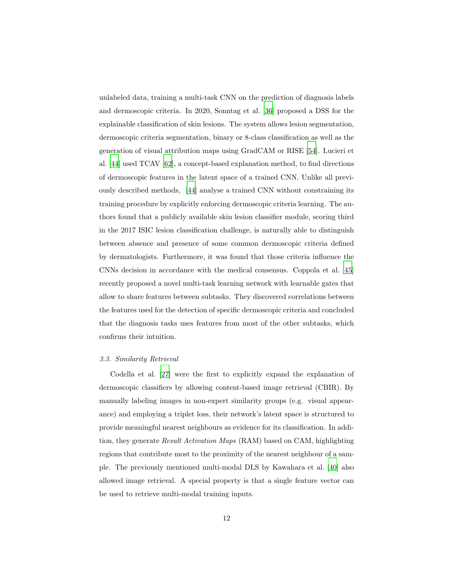unlabeled data, training a multi-task CNN on the prediction of diagnosis labels and dermoscopic criteria. In 2020, Sonntag et al. [\[36\]](#page-22-1) proposed a DSS for the explainable classification of skin lesions. The system allows lesion segmentation, dermoscopic criteria segmentation, binary or 8-class classification as well as the generation of visual attribution maps using GradCAM or RISE [\[54\]](#page-24-2). Lucieri et al. [\[44\]](#page-23-4) used TCAV [\[62\]](#page-25-1), a concept-based explanation method, to find directions of dermoscopic features in the latent space of a trained CNN. Unlike all previously described methods, [\[44](#page-23-4)] analyse a trained CNN without constraining its training procedure by explicitly enforcing dermoscopic criteria learning. The authors found that a publicly available skin lesion classifier module, scoring third in the 2017 ISIC lesion classification challenge, is naturally able to distinguish between absence and presence of some common dermoscopic criteria defined by dermatologists. Furthermore, it was found that those criteria influence the CNNs decision in accordance with the medical consensus. Coppola et al. [\[45\]](#page-23-5) recently proposed a novel multi-task learning network with learnable gates that allow to share features between subtasks. They discovered correlations between the features used for the detection of specific dermoscopic criteria and concluded that the diagnosis tasks uses features from most of the other subtasks, which confirms their intuition.

## 3.3. Similarity Retrieval

Codella et al. [\[27\]](#page-21-0) were the first to explicitly expand the explanation of dermoscopic classifiers by allowing content-based image retrieval (CBIR). By manually labeling images in non-expert similarity groups (e.g. visual appearance) and employing a triplet loss, their network's latent space is structured to provide meaningful nearest neighbours as evidence for its classification. In addition, they generate Result Activation Maps (RAM) based on CAM, highlighting regions that contribute most to the proximity of the nearest neighbour of a sample. The previously mentioned multi-modal DLS by Kawahara et al. [\[40](#page-22-5)] also allowed image retrieval. A special property is that a single feature vector can be used to retrieve multi-modal training inputs.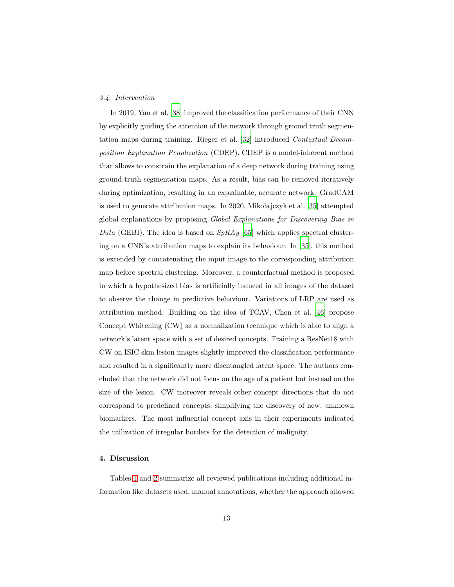### 3.4. Intervention

In 2019, Yan et al. [\[38\]](#page-22-3) improved the classification performance of their CNN by explicitly guiding the attention of the network through ground truth segmentation maps during training. Rieger et al. [\[32](#page-21-5)] introduced Contextual Decomposition Explanation Penalization (CDEP). CDEP is a model-inherent method that allows to constrain the explanation of a deep network during training using ground-truth segmentation maps. As a result, bias can be removed iteratively during optimization, resulting in an explainable, accurate network. GradCAM is used to generate attribution maps. In 2020, Mikołajczyk et al. [\[35](#page-22-0)] attempted global explanations by proposing Global Explanations for Discovering Bias in Data (GEBI). The idea is based on  $SpRAy$  [\[65](#page-25-4)] which applies spectral clustering on a CNN's attribution maps to explain its behaviour. In [\[35\]](#page-22-0), this method is extended by concatenating the input image to the corresponding attribution map before spectral clustering. Moreover, a counterfactual method is proposed in which a hypothesized bias is artificially induced in all images of the dataset to observe the change in predictive behaviour. Variations of LRP are used as attribution method. Building on the idea of TCAV, Chen et al. [\[46](#page-23-6)] propose Concept Whitening (CW) as a normalization technique which is able to align a network's latent space with a set of desired concepts. Training a ResNet18 with CW on ISIC skin lesion images slightly improved the classification performance and resulted in a significantly more disentangled latent space. The authors concluded that the network did not focus on the age of a patient but instead on the size of the lesion. CW moreover reveals other concept directions that do not correspond to predefined concepts, simplifying the discovery of new, unknown biomarkers. The most influential concept axis in their experiments indicated the utilization of irregular borders for the detection of malignity.

## <span id="page-12-0"></span>4. Discussion

Tables [1](#page-6-0) and [2](#page-7-0) summarize all reviewed publications including additional information like datasets used, manual annotations, whether the approach allowed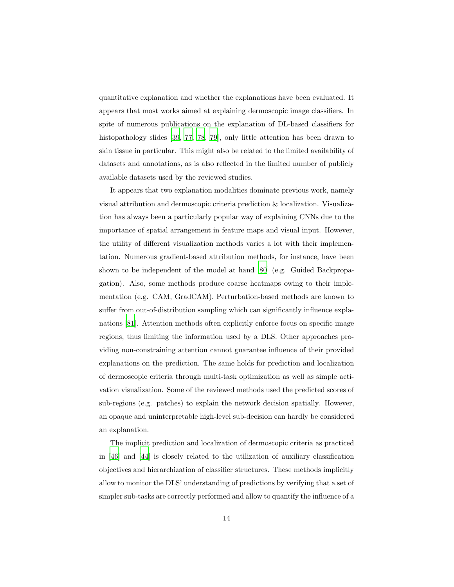quantitative explanation and whether the explanations have been evaluated. It appears that most works aimed at explaining dermoscopic image classifiers. In spite of numerous publications on the explanation of DL-based classifiers for histopathology slides [\[39](#page-22-4), [77](#page-26-7), [78](#page-27-0), [79](#page-27-1)], only little attention has been drawn to skin tissue in particular. This might also be related to the limited availability of datasets and annotations, as is also reflected in the limited number of publicly available datasets used by the reviewed studies.

It appears that two explanation modalities dominate previous work, namely visual attribution and dermoscopic criteria prediction & localization. Visualization has always been a particularly popular way of explaining CNNs due to the importance of spatial arrangement in feature maps and visual input. However, the utility of different visualization methods varies a lot with their implementation. Numerous gradient-based attribution methods, for instance, have been shown to be independent of the model at hand [\[80](#page-27-2)] (e.g. Guided Backpropagation). Also, some methods produce coarse heatmaps owing to their implementation (e.g. CAM, GradCAM). Perturbation-based methods are known to suffer from out-of-distribution sampling which can significantly influence explanations [\[81](#page-27-3)]. Attention methods often explicitly enforce focus on specific image regions, thus limiting the information used by a DLS. Other approaches providing non-constraining attention cannot guarantee influence of their provided explanations on the prediction. The same holds for prediction and localization of dermoscopic criteria through multi-task optimization as well as simple activation visualization. Some of the reviewed methods used the predicted scores of sub-regions (e.g. patches) to explain the network decision spatially. However, an opaque and uninterpretable high-level sub-decision can hardly be considered an explanation.

The implicit prediction and localization of dermoscopic criteria as practiced in [\[46](#page-23-6)] and [\[44](#page-23-4)] is closely related to the utilization of auxiliary classification objectives and hierarchization of classifier structures. These methods implicitly allow to monitor the DLS' understanding of predictions by verifying that a set of simpler sub-tasks are correctly performed and allow to quantify the influence of a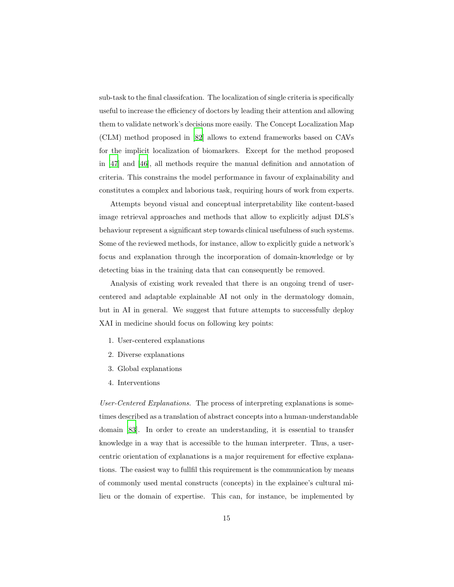sub-task to the final classifcation. The localization of single criteria is specifically useful to increase the efficiency of doctors by leading their attention and allowing them to validate network's decisions more easily. The Concept Localization Map (CLM) method proposed in [\[82\]](#page-27-4) allows to extend frameworks based on CAVs for the implicit localization of biomarkers. Except for the method proposed in [\[47\]](#page-23-7) and [\[46\]](#page-23-6), all methods require the manual definition and annotation of criteria. This constrains the model performance in favour of explainability and constitutes a complex and laborious task, requiring hours of work from experts.

Attempts beyond visual and conceptual interpretability like content-based image retrieval approaches and methods that allow to explicitly adjust DLS's behaviour represent a significant step towards clinical usefulness of such systems. Some of the reviewed methods, for instance, allow to explicitly guide a network's focus and explanation through the incorporation of domain-knowledge or by detecting bias in the training data that can consequently be removed.

Analysis of existing work revealed that there is an ongoing trend of usercentered and adaptable explainable AI not only in the dermatology domain, but in AI in general. We suggest that future attempts to successfully deploy XAI in medicine should focus on following key points:

- 1. User-centered explanations
- 2. Diverse explanations
- 3. Global explanations
- 4. Interventions

User-Centered Explanations. The process of interpreting explanations is sometimes described as a translation of abstract concepts into a human-understandable domain [\[83](#page-27-5)]. In order to create an understanding, it is essential to transfer knowledge in a way that is accessible to the human interpreter. Thus, a usercentric orientation of explanations is a major requirement for effective explanations. The easiest way to fullfil this requirement is the communication by means of commonly used mental constructs (concepts) in the explainee's cultural milieu or the domain of expertise. This can, for instance, be implemented by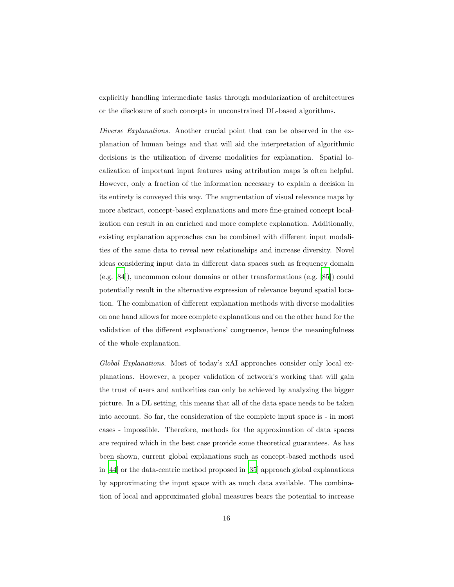explicitly handling intermediate tasks through modularization of architectures or the disclosure of such concepts in unconstrained DL-based algorithms.

Diverse Explanations. Another crucial point that can be observed in the explanation of human beings and that will aid the interpretation of algorithmic decisions is the utilization of diverse modalities for explanation. Spatial localization of important input features using attribution maps is often helpful. However, only a fraction of the information necessary to explain a decision in its entirety is conveyed this way. The augmentation of visual relevance maps by more abstract, concept-based explanations and more fine-grained concept localization can result in an enriched and more complete explanation. Additionally, existing explanation approaches can be combined with different input modalities of the same data to reveal new relationships and increase diversity. Novel ideas considering input data in different data spaces such as frequency domain (e.g. [\[84](#page-27-6)]), uncommon colour domains or other transformations (e.g. [\[85\]](#page-27-7)) could potentially result in the alternative expression of relevance beyond spatial location. The combination of different explanation methods with diverse modalities on one hand allows for more complete explanations and on the other hand for the validation of the different explanations' congruence, hence the meaningfulness of the whole explanation.

Global Explanations. Most of today's xAI approaches consider only local explanations. However, a proper validation of network's working that will gain the trust of users and authorities can only be achieved by analyzing the bigger picture. In a DL setting, this means that all of the data space needs to be taken into account. So far, the consideration of the complete input space is - in most cases - impossible. Therefore, methods for the approximation of data spaces are required which in the best case provide some theoretical guarantees. As has been shown, current global explanations such as concept-based methods used in [\[44\]](#page-23-4) or the data-centric method proposed in [\[35\]](#page-22-0) approach global explanations by approximating the input space with as much data available. The combination of local and approximated global measures bears the potential to increase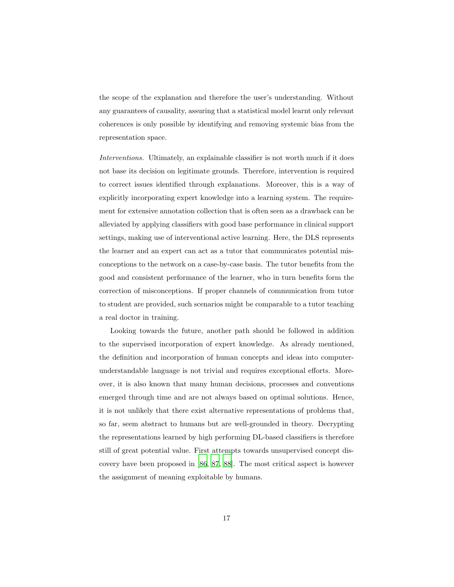the scope of the explanation and therefore the user's understanding. Without any guarantees of causality, assuring that a statistical model learnt only relevant coherences is only possible by identifying and removing systemic bias from the representation space.

Interventions. Ultimately, an explainable classifier is not worth much if it does not base its decision on legitimate grounds. Therefore, intervention is required to correct issues identified through explanations. Moreover, this is a way of explicitly incorporating expert knowledge into a learning system. The requirement for extensive annotation collection that is often seen as a drawback can be alleviated by applying classifiers with good base performance in clinical support settings, making use of interventional active learning. Here, the DLS represents the learner and an expert can act as a tutor that communicates potential misconceptions to the network on a case-by-case basis. The tutor benefits from the good and consistent performance of the learner, who in turn benefits form the correction of misconceptions. If proper channels of communication from tutor to student are provided, such scenarios might be comparable to a tutor teaching a real doctor in training.

Looking towards the future, another path should be followed in addition to the supervised incorporation of expert knowledge. As already mentioned, the definition and incorporation of human concepts and ideas into computerunderstandable language is not trivial and requires exceptional efforts. Moreover, it is also known that many human decisions, processes and conventions emerged through time and are not always based on optimal solutions. Hence, it is not unlikely that there exist alternative representations of problems that, so far, seem abstract to humans but are well-grounded in theory. Decrypting the representations learned by high performing DL-based classifiers is therefore still of great potential value. First attempts towards unsupervised concept discovery have been proposed in [\[86](#page-28-0), [87,](#page-28-1) [88\]](#page-28-2). The most critical aspect is however the assignment of meaning exploitable by humans.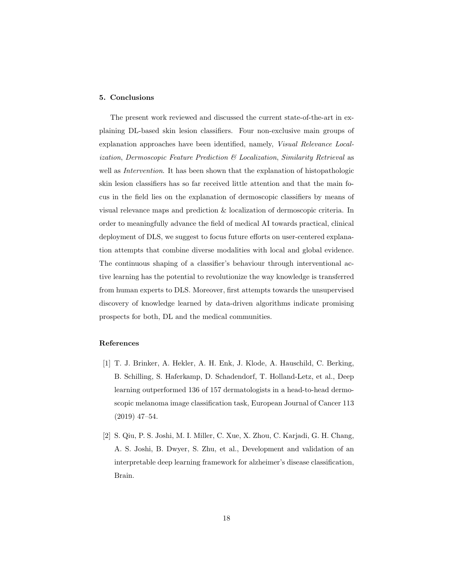## <span id="page-17-2"></span>5. Conclusions

The present work reviewed and discussed the current state-of-the-art in explaining DL-based skin lesion classifiers. Four non-exclusive main groups of explanation approaches have been identified, namely, Visual Relevance Localization, Dermoscopic Feature Prediction & Localization, Similarity Retrieval as well as *Intervention*. It has been shown that the explanation of histopathologic skin lesion classifiers has so far received little attention and that the main focus in the field lies on the explanation of dermoscopic classifiers by means of visual relevance maps and prediction & localization of dermoscopic criteria. In order to meaningfully advance the field of medical AI towards practical, clinical deployment of DLS, we suggest to focus future efforts on user-centered explanation attempts that combine diverse modalities with local and global evidence. The continuous shaping of a classifier's behaviour through interventional active learning has the potential to revolutionize the way knowledge is transferred from human experts to DLS. Moreover, first attempts towards the unsupervised discovery of knowledge learned by data-driven algorithms indicate promising prospects for both, DL and the medical communities.

## References

- <span id="page-17-0"></span>[1] T. J. Brinker, A. Hekler, A. H. Enk, J. Klode, A. Hauschild, C. Berking, B. Schilling, S. Haferkamp, D. Schadendorf, T. Holland-Letz, et al., Deep learning outperformed 136 of 157 dermatologists in a head-to-head dermoscopic melanoma image classification task, European Journal of Cancer 113 (2019) 47–54.
- <span id="page-17-1"></span>[2] S. Qiu, P. S. Joshi, M. I. Miller, C. Xue, X. Zhou, C. Karjadi, G. H. Chang, A. S. Joshi, B. Dwyer, S. Zhu, et al., Development and validation of an interpretable deep learning framework for alzheimer's disease classification, Brain.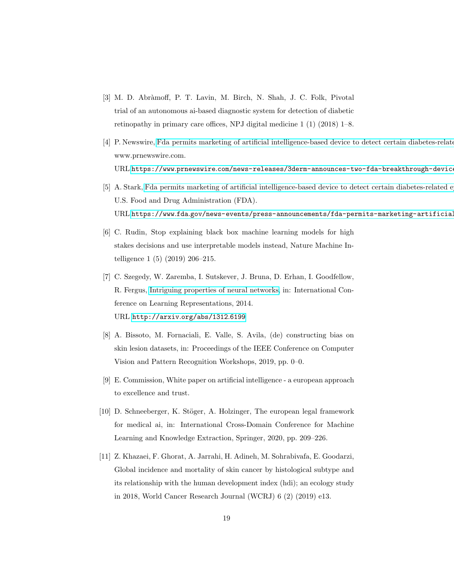- <span id="page-18-0"></span>[3] M. D. Abràmoff, P. T. Lavin, M. Birch, N. Shah, J. C. Folk, Pivotal trial of an autonomous ai-based diagnostic system for detection of diabetic retinopathy in primary care offices, NPJ digital medicine 1 (1) (2018) 1–8.
- <span id="page-18-1"></span>[4] P. Newswire, Fda permits marketing of artificial intelligence-based device to detect certain diabetes-related www.prnewswire.com. URL https://www.prnewswire.com/news-releases/3derm-announces-two-fda-breakthrough-devic
- <span id="page-18-2"></span>[5] A. Stark, Fda permits marketing of artificial intelligence-based device to detect certain diabetes-related e U.S. Food and Drug Administration (FDA). URL https://www.fda.gov/news-events/press-announcements/fda-permits-marketing-artificial
- <span id="page-18-3"></span>[6] C. Rudin, Stop explaining black box machine learning models for high stakes decisions and use interpretable models instead, Nature Machine Intelligence 1 (5) (2019) 206–215.
- <span id="page-18-4"></span>[7] C. Szegedy, W. Zaremba, I. Sutskever, J. Bruna, D. Erhan, I. Goodfellow, R. Fergus, [Intriguing properties of neural networks,](http://arxiv.org/abs/1312.6199) in: International Conference on Learning Representations, 2014. URL [http://arxiv](http://arxiv.org/abs/1312.6199).org/abs/1312.6199
- <span id="page-18-5"></span>[8] A. Bissoto, M. Fornaciali, E. Valle, S. Avila, (de) constructing bias on skin lesion datasets, in: Proceedings of the IEEE Conference on Computer Vision and Pattern Recognition Workshops, 2019, pp. 0–0.
- <span id="page-18-6"></span>[9] E. Commission, White paper on artificial intelligence - a european approach to excellence and trust.
- <span id="page-18-7"></span>[10] D. Schneeberger, K. Stöger, A. Holzinger, The european legal framework for medical ai, in: International Cross-Domain Conference for Machine Learning and Knowledge Extraction, Springer, 2020, pp. 209–226.
- <span id="page-18-8"></span>[11] Z. Khazaei, F. Ghorat, A. Jarrahi, H. Adineh, M. Sohrabivafa, E. Goodarzi, Global incidence and mortality of skin cancer by histological subtype and its relationship with the human development index (hdi); an ecology study in 2018, World Cancer Research Journal (WCRJ) 6 (2) (2019) e13.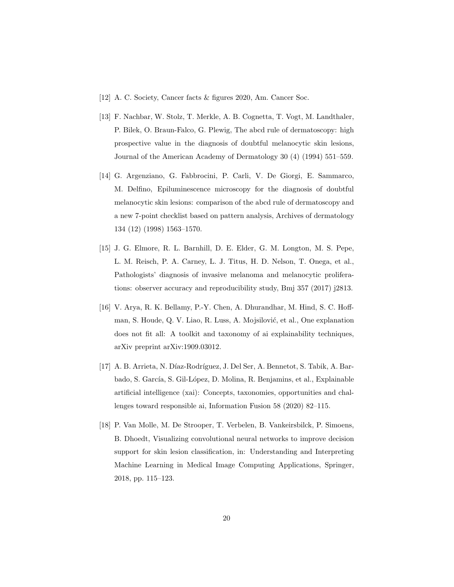- <span id="page-19-0"></span>[12] A. C. Society, Cancer facts & figures 2020, Am. Cancer Soc.
- <span id="page-19-1"></span>[13] F. Nachbar, W. Stolz, T. Merkle, A. B. Cognetta, T. Vogt, M. Landthaler, P. Bilek, O. Braun-Falco, G. Plewig, The abcd rule of dermatoscopy: high prospective value in the diagnosis of doubtful melanocytic skin lesions, Journal of the American Academy of Dermatology 30 (4) (1994) 551–559.
- <span id="page-19-2"></span>[14] G. Argenziano, G. Fabbrocini, P. Carli, V. De Giorgi, E. Sammarco, M. Delfino, Epiluminescence microscopy for the diagnosis of doubtful melanocytic skin lesions: comparison of the abcd rule of dermatoscopy and a new 7-point checklist based on pattern analysis, Archives of dermatology 134 (12) (1998) 1563–1570.
- <span id="page-19-3"></span>[15] J. G. Elmore, R. L. Barnhill, D. E. Elder, G. M. Longton, M. S. Pepe, L. M. Reisch, P. A. Carney, L. J. Titus, H. D. Nelson, T. Onega, et al., Pathologists' diagnosis of invasive melanoma and melanocytic proliferations: observer accuracy and reproducibility study, Bmj 357 (2017) j2813.
- <span id="page-19-4"></span>[16] V. Arya, R. K. Bellamy, P.-Y. Chen, A. Dhurandhar, M. Hind, S. C. Hoffman, S. Houde, Q. V. Liao, R. Luss, A. Mojsilović, et al., One explanation does not fit all: A toolkit and taxonomy of ai explainability techniques, arXiv preprint arXiv:1909.03012.
- <span id="page-19-5"></span>[17] A. B. Arrieta, N. Díaz-Rodríguez, J. Del Ser, A. Bennetot, S. Tabik, A. Barbado, S. García, S. Gil-López, D. Molina, R. Benjamins, et al., Explainable artificial intelligence (xai): Concepts, taxonomies, opportunities and challenges toward responsible ai, Information Fusion 58 (2020) 82–115.
- <span id="page-19-6"></span>[18] P. Van Molle, M. De Strooper, T. Verbelen, B. Vankeirsbilck, P. Simoens, B. Dhoedt, Visualizing convolutional neural networks to improve decision support for skin lesion classification, in: Understanding and Interpreting Machine Learning in Medical Image Computing Applications, Springer, 2018, pp. 115–123.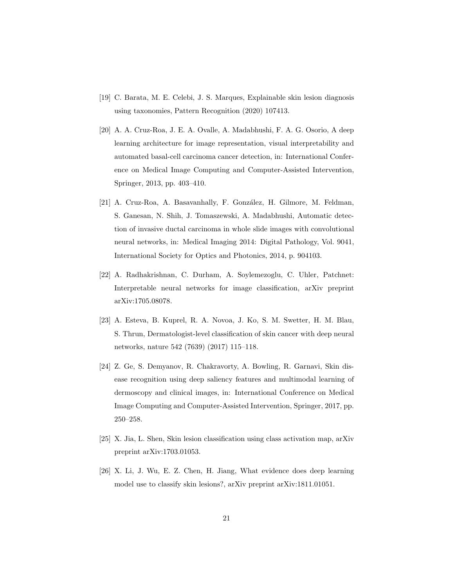- <span id="page-20-0"></span>[19] C. Barata, M. E. Celebi, J. S. Marques, Explainable skin lesion diagnosis using taxonomies, Pattern Recognition (2020) 107413.
- <span id="page-20-1"></span>[20] A. A. Cruz-Roa, J. E. A. Ovalle, A. Madabhushi, F. A. G. Osorio, A deep learning architecture for image representation, visual interpretability and automated basal-cell carcinoma cancer detection, in: International Conference on Medical Image Computing and Computer-Assisted Intervention, Springer, 2013, pp. 403–410.
- <span id="page-20-2"></span>[21] A. Cruz-Roa, A. Basavanhally, F. González, H. Gilmore, M. Feldman, S. Ganesan, N. Shih, J. Tomaszewski, A. Madabhushi, Automatic detection of invasive ductal carcinoma in whole slide images with convolutional neural networks, in: Medical Imaging 2014: Digital Pathology, Vol. 9041, International Society for Optics and Photonics, 2014, p. 904103.
- <span id="page-20-3"></span>[22] A. Radhakrishnan, C. Durham, A. Soylemezoglu, C. Uhler, Patchnet: Interpretable neural networks for image classification, arXiv preprint arXiv:1705.08078.
- <span id="page-20-4"></span>[23] A. Esteva, B. Kuprel, R. A. Novoa, J. Ko, S. M. Swetter, H. M. Blau, S. Thrun, Dermatologist-level classification of skin cancer with deep neural networks, nature 542 (7639) (2017) 115–118.
- <span id="page-20-5"></span>[24] Z. Ge, S. Demyanov, R. Chakravorty, A. Bowling, R. Garnavi, Skin disease recognition using deep saliency features and multimodal learning of dermoscopy and clinical images, in: International Conference on Medical Image Computing and Computer-Assisted Intervention, Springer, 2017, pp. 250–258.
- <span id="page-20-6"></span>[25] X. Jia, L. Shen, Skin lesion classification using class activation map, arXiv preprint arXiv:1703.01053.
- <span id="page-20-7"></span>[26] X. Li, J. Wu, E. Z. Chen, H. Jiang, What evidence does deep learning model use to classify skin lesions?, arXiv preprint arXiv:1811.01051.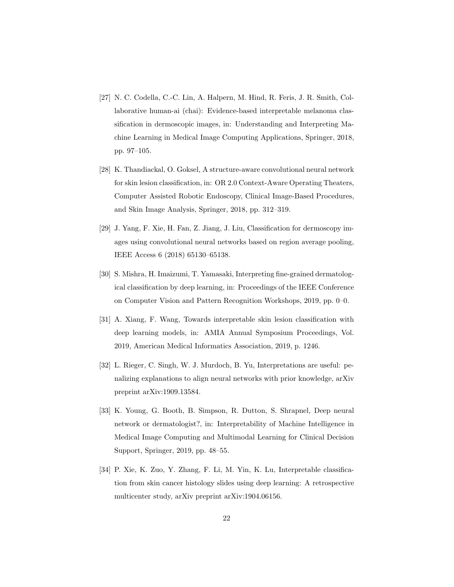- <span id="page-21-0"></span>[27] N. C. Codella, C.-C. Lin, A. Halpern, M. Hind, R. Feris, J. R. Smith, Collaborative human-ai (chai): Evidence-based interpretable melanoma classification in dermoscopic images, in: Understanding and Interpreting Machine Learning in Medical Image Computing Applications, Springer, 2018, pp. 97–105.
- <span id="page-21-1"></span>[28] K. Thandiackal, O. Goksel, A structure-aware convolutional neural network for skin lesion classification, in: OR 2.0 Context-Aware Operating Theaters, Computer Assisted Robotic Endoscopy, Clinical Image-Based Procedures, and Skin Image Analysis, Springer, 2018, pp. 312–319.
- <span id="page-21-2"></span>[29] J. Yang, F. Xie, H. Fan, Z. Jiang, J. Liu, Classification for dermoscopy images using convolutional neural networks based on region average pooling, IEEE Access 6 (2018) 65130–65138.
- <span id="page-21-3"></span>[30] S. Mishra, H. Imaizumi, T. Yamasaki, Interpreting fine-grained dermatological classification by deep learning, in: Proceedings of the IEEE Conference on Computer Vision and Pattern Recognition Workshops, 2019, pp. 0–0.
- <span id="page-21-4"></span>[31] A. Xiang, F. Wang, Towards interpretable skin lesion classification with deep learning models, in: AMIA Annual Symposium Proceedings, Vol. 2019, American Medical Informatics Association, 2019, p. 1246.
- <span id="page-21-5"></span>[32] L. Rieger, C. Singh, W. J. Murdoch, B. Yu, Interpretations are useful: penalizing explanations to align neural networks with prior knowledge, arXiv preprint arXiv:1909.13584.
- <span id="page-21-6"></span>[33] K. Young, G. Booth, B. Simpson, R. Dutton, S. Shrapnel, Deep neural network or dermatologist?, in: Interpretability of Machine Intelligence in Medical Image Computing and Multimodal Learning for Clinical Decision Support, Springer, 2019, pp. 48–55.
- <span id="page-21-7"></span>[34] P. Xie, K. Zuo, Y. Zhang, F. Li, M. Yin, K. Lu, Interpretable classification from skin cancer histology slides using deep learning: A retrospective multicenter study, arXiv preprint arXiv:1904.06156.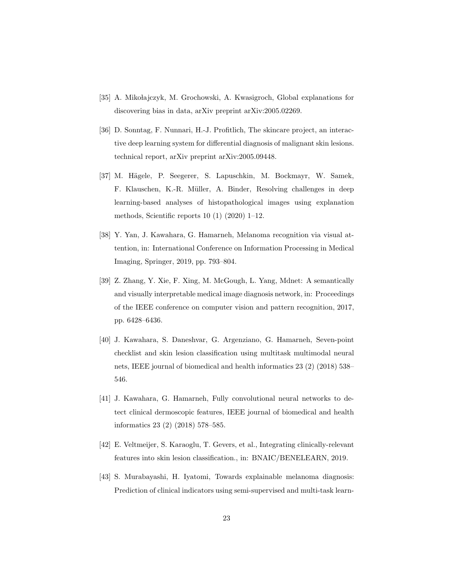- <span id="page-22-0"></span>[35] A. Mikołajczyk, M. Grochowski, A. Kwasigroch, Global explanations for discovering bias in data, arXiv preprint arXiv:2005.02269.
- <span id="page-22-1"></span>[36] D. Sonntag, F. Nunnari, H.-J. Profitlich, The skincare project, an interactive deep learning system for differential diagnosis of malignant skin lesions. technical report, arXiv preprint arXiv:2005.09448.
- <span id="page-22-2"></span>[37] M. Hägele, P. Seegerer, S. Lapuschkin, M. Bockmayr, W. Samek, F. Klauschen, K.-R. Müller, A. Binder, Resolving challenges in deep learning-based analyses of histopathological images using explanation methods, Scientific reports 10 (1) (2020) 1–12.
- <span id="page-22-3"></span>[38] Y. Yan, J. Kawahara, G. Hamarneh, Melanoma recognition via visual attention, in: International Conference on Information Processing in Medical Imaging, Springer, 2019, pp. 793–804.
- <span id="page-22-4"></span>[39] Z. Zhang, Y. Xie, F. Xing, M. McGough, L. Yang, Mdnet: A semantically and visually interpretable medical image diagnosis network, in: Proceedings of the IEEE conference on computer vision and pattern recognition, 2017, pp. 6428–6436.
- <span id="page-22-5"></span>[40] J. Kawahara, S. Daneshvar, G. Argenziano, G. Hamarneh, Seven-point checklist and skin lesion classification using multitask multimodal neural nets, IEEE journal of biomedical and health informatics 23 (2) (2018) 538– 546.
- <span id="page-22-6"></span>[41] J. Kawahara, G. Hamarneh, Fully convolutional neural networks to detect clinical dermoscopic features, IEEE journal of biomedical and health informatics 23 (2) (2018) 578–585.
- <span id="page-22-7"></span>[42] E. Veltmeijer, S. Karaoglu, T. Gevers, et al., Integrating clinically-relevant features into skin lesion classification., in: BNAIC/BENELEARN, 2019.
- <span id="page-22-8"></span>[43] S. Murabayashi, H. Iyatomi, Towards explainable melanoma diagnosis: Prediction of clinical indicators using semi-supervised and multi-task learn-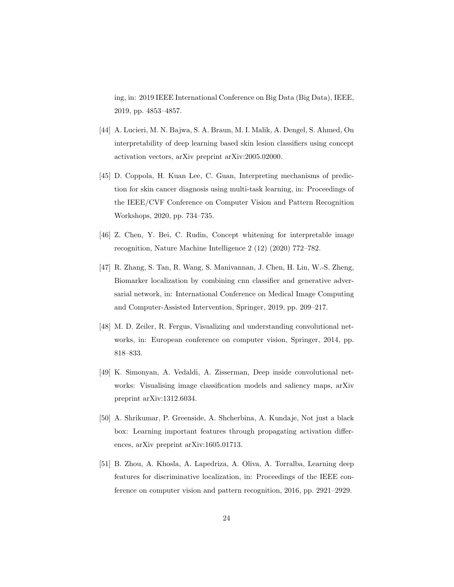ing, in: 2019 IEEE International Conference on Big Data (Big Data), IEEE, 2019, pp. 4853–4857.

- <span id="page-23-4"></span>[44] A. Lucieri, M. N. Bajwa, S. A. Braun, M. I. Malik, A. Dengel, S. Ahmed, On interpretability of deep learning based skin lesion classifiers using concept activation vectors, arXiv preprint arXiv:2005.02000.
- <span id="page-23-5"></span>[45] D. Coppola, H. Kuan Lee, C. Guan, Interpreting mechanisms of prediction for skin cancer diagnosis using multi-task learning, in: Proceedings of the IEEE/CVF Conference on Computer Vision and Pattern Recognition Workshops, 2020, pp. 734–735.
- <span id="page-23-6"></span>[46] Z. Chen, Y. Bei, C. Rudin, Concept whitening for interpretable image recognition, Nature Machine Intelligence 2 (12) (2020) 772–782.
- <span id="page-23-7"></span>[47] R. Zhang, S. Tan, R. Wang, S. Manivannan, J. Chen, H. Lin, W.-S. Zheng, Biomarker localization by combining cnn classifier and generative adversarial network, in: International Conference on Medical Image Computing and Computer-Assisted Intervention, Springer, 2019, pp. 209–217.
- <span id="page-23-0"></span>[48] M. D. Zeiler, R. Fergus, Visualizing and understanding convolutional networks, in: European conference on computer vision, Springer, 2014, pp. 818–833.
- <span id="page-23-1"></span>[49] K. Simonyan, A. Vedaldi, A. Zisserman, Deep inside convolutional networks: Visualising image classification models and saliency maps, arXiv preprint arXiv:1312.6034.
- <span id="page-23-2"></span>[50] A. Shrikumar, P. Greenside, A. Shcherbina, A. Kundaje, Not just a black box: Learning important features through propagating activation differences, arXiv preprint arXiv:1605.01713.
- <span id="page-23-3"></span>[51] B. Zhou, A. Khosla, A. Lapedriza, A. Oliva, A. Torralba, Learning deep features for discriminative localization, in: Proceedings of the IEEE conference on computer vision and pattern recognition, 2016, pp. 2921–2929.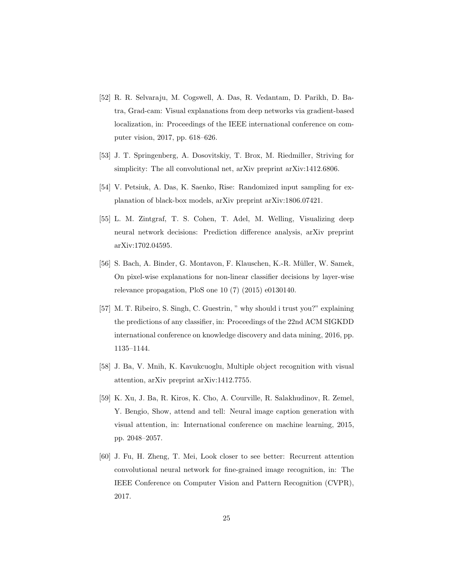- <span id="page-24-0"></span>[52] R. R. Selvaraju, M. Cogswell, A. Das, R. Vedantam, D. Parikh, D. Batra, Grad-cam: Visual explanations from deep networks via gradient-based localization, in: Proceedings of the IEEE international conference on computer vision, 2017, pp. 618–626.
- <span id="page-24-1"></span>[53] J. T. Springenberg, A. Dosovitskiy, T. Brox, M. Riedmiller, Striving for simplicity: The all convolutional net, arXiv preprint arXiv:1412.6806.
- <span id="page-24-2"></span>[54] V. Petsiuk, A. Das, K. Saenko, Rise: Randomized input sampling for explanation of black-box models, arXiv preprint arXiv:1806.07421.
- <span id="page-24-3"></span>[55] L. M. Zintgraf, T. S. Cohen, T. Adel, M. Welling, Visualizing deep neural network decisions: Prediction difference analysis, arXiv preprint arXiv:1702.04595.
- <span id="page-24-4"></span>[56] S. Bach, A. Binder, G. Montavon, F. Klauschen, K.-R. Müller, W. Samek, On pixel-wise explanations for non-linear classifier decisions by layer-wise relevance propagation, PloS one 10 (7) (2015) e0130140.
- <span id="page-24-5"></span>[57] M. T. Ribeiro, S. Singh, C. Guestrin, " why should i trust you?" explaining the predictions of any classifier, in: Proceedings of the 22nd ACM SIGKDD international conference on knowledge discovery and data mining, 2016, pp. 1135–1144.
- <span id="page-24-6"></span>[58] J. Ba, V. Mnih, K. Kavukcuoglu, Multiple object recognition with visual attention, arXiv preprint arXiv:1412.7755.
- <span id="page-24-7"></span>[59] K. Xu, J. Ba, R. Kiros, K. Cho, A. Courville, R. Salakhudinov, R. Zemel, Y. Bengio, Show, attend and tell: Neural image caption generation with visual attention, in: International conference on machine learning, 2015, pp. 2048–2057.
- <span id="page-24-8"></span>[60] J. Fu, H. Zheng, T. Mei, Look closer to see better: Recurrent attention convolutional neural network for fine-grained image recognition, in: The IEEE Conference on Computer Vision and Pattern Recognition (CVPR), 2017.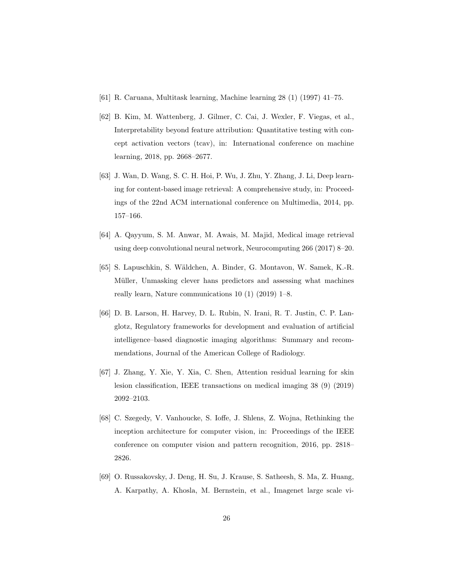- <span id="page-25-0"></span>[61] R. Caruana, Multitask learning, Machine learning 28 (1) (1997) 41–75.
- <span id="page-25-1"></span>[62] B. Kim, M. Wattenberg, J. Gilmer, C. Cai, J. Wexler, F. Viegas, et al., Interpretability beyond feature attribution: Quantitative testing with concept activation vectors (tcav), in: International conference on machine learning, 2018, pp. 2668–2677.
- <span id="page-25-2"></span>[63] J. Wan, D. Wang, S. C. H. Hoi, P. Wu, J. Zhu, Y. Zhang, J. Li, Deep learning for content-based image retrieval: A comprehensive study, in: Proceedings of the 22nd ACM international conference on Multimedia, 2014, pp. 157–166.
- <span id="page-25-3"></span>[64] A. Qayyum, S. M. Anwar, M. Awais, M. Majid, Medical image retrieval using deep convolutional neural network, Neurocomputing 266 (2017) 8–20.
- <span id="page-25-4"></span>[65] S. Lapuschkin, S. Wäldchen, A. Binder, G. Montavon, W. Samek, K.-R. Müller, Unmasking clever hans predictors and assessing what machines really learn, Nature communications 10 (1) (2019) 1–8.
- <span id="page-25-5"></span>[66] D. B. Larson, H. Harvey, D. L. Rubin, N. Irani, R. T. Justin, C. P. Langlotz, Regulatory frameworks for development and evaluation of artificial intelligence–based diagnostic imaging algorithms: Summary and recommendations, Journal of the American College of Radiology.
- <span id="page-25-6"></span>[67] J. Zhang, Y. Xie, Y. Xia, C. Shen, Attention residual learning for skin lesion classification, IEEE transactions on medical imaging 38 (9) (2019) 2092–2103.
- <span id="page-25-7"></span>[68] C. Szegedy, V. Vanhoucke, S. Ioffe, J. Shlens, Z. Wojna, Rethinking the inception architecture for computer vision, in: Proceedings of the IEEE conference on computer vision and pattern recognition, 2016, pp. 2818– 2826.
- <span id="page-25-8"></span>[69] O. Russakovsky, J. Deng, H. Su, J. Krause, S. Satheesh, S. Ma, Z. Huang, A. Karpathy, A. Khosla, M. Bernstein, et al., Imagenet large scale vi-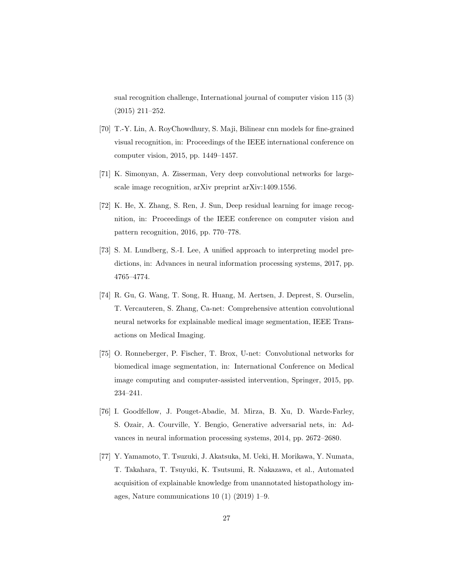sual recognition challenge, International journal of computer vision 115 (3) (2015) 211–252.

- <span id="page-26-0"></span>[70] T.-Y. Lin, A. RoyChowdhury, S. Maji, Bilinear cnn models for fine-grained visual recognition, in: Proceedings of the IEEE international conference on computer vision, 2015, pp. 1449–1457.
- <span id="page-26-1"></span>[71] K. Simonyan, A. Zisserman, Very deep convolutional networks for largescale image recognition, arXiv preprint arXiv:1409.1556.
- <span id="page-26-2"></span>[72] K. He, X. Zhang, S. Ren, J. Sun, Deep residual learning for image recognition, in: Proceedings of the IEEE conference on computer vision and pattern recognition, 2016, pp. 770–778.
- <span id="page-26-3"></span>[73] S. M. Lundberg, S.-I. Lee, A unified approach to interpreting model predictions, in: Advances in neural information processing systems, 2017, pp. 4765–4774.
- <span id="page-26-4"></span>[74] R. Gu, G. Wang, T. Song, R. Huang, M. Aertsen, J. Deprest, S. Ourselin, T. Vercauteren, S. Zhang, Ca-net: Comprehensive attention convolutional neural networks for explainable medical image segmentation, IEEE Transactions on Medical Imaging.
- <span id="page-26-5"></span>[75] O. Ronneberger, P. Fischer, T. Brox, U-net: Convolutional networks for biomedical image segmentation, in: International Conference on Medical image computing and computer-assisted intervention, Springer, 2015, pp. 234–241.
- <span id="page-26-6"></span>[76] I. Goodfellow, J. Pouget-Abadie, M. Mirza, B. Xu, D. Warde-Farley, S. Ozair, A. Courville, Y. Bengio, Generative adversarial nets, in: Advances in neural information processing systems, 2014, pp. 2672–2680.
- <span id="page-26-7"></span>[77] Y. Yamamoto, T. Tsuzuki, J. Akatsuka, M. Ueki, H. Morikawa, Y. Numata, T. Takahara, T. Tsuyuki, K. Tsutsumi, R. Nakazawa, et al., Automated acquisition of explainable knowledge from unannotated histopathology images, Nature communications 10 (1) (2019) 1–9.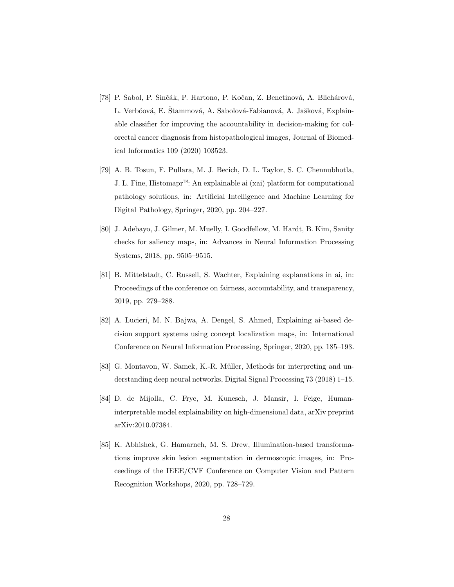- <span id="page-27-0"></span>[78] P. Sabol, P. Sinčák, P. Hartono, P. Kočan, Z. Benetinová, A. Blichárová, L. Verbóová, E. Štammová, A. Sabolová-Fabianová, A. Jašková, Explainable classifier for improving the accountability in decision-making for colorectal cancer diagnosis from histopathological images, Journal of Biomedical Informatics 109 (2020) 103523.
- <span id="page-27-1"></span>[79] A. B. Tosun, F. Pullara, M. J. Becich, D. L. Taylor, S. C. Chennubhotla, J. L. Fine, Histomapr™: An explainable ai (xai) platform for computational pathology solutions, in: Artificial Intelligence and Machine Learning for Digital Pathology, Springer, 2020, pp. 204–227.
- <span id="page-27-2"></span>[80] J. Adebayo, J. Gilmer, M. Muelly, I. Goodfellow, M. Hardt, B. Kim, Sanity checks for saliency maps, in: Advances in Neural Information Processing Systems, 2018, pp. 9505–9515.
- <span id="page-27-3"></span>[81] B. Mittelstadt, C. Russell, S. Wachter, Explaining explanations in ai, in: Proceedings of the conference on fairness, accountability, and transparency, 2019, pp. 279–288.
- <span id="page-27-4"></span>[82] A. Lucieri, M. N. Bajwa, A. Dengel, S. Ahmed, Explaining ai-based decision support systems using concept localization maps, in: International Conference on Neural Information Processing, Springer, 2020, pp. 185–193.
- <span id="page-27-5"></span>[83] G. Montavon, W. Samek, K.-R. Müller, Methods for interpreting and understanding deep neural networks, Digital Signal Processing 73 (2018) 1–15.
- <span id="page-27-6"></span>[84] D. de Mijolla, C. Frye, M. Kunesch, J. Mansir, I. Feige, Humaninterpretable model explainability on high-dimensional data, arXiv preprint arXiv:2010.07384.
- <span id="page-27-7"></span>[85] K. Abhishek, G. Hamarneh, M. S. Drew, Illumination-based transformations improve skin lesion segmentation in dermoscopic images, in: Proceedings of the IEEE/CVF Conference on Computer Vision and Pattern Recognition Workshops, 2020, pp. 728–729.